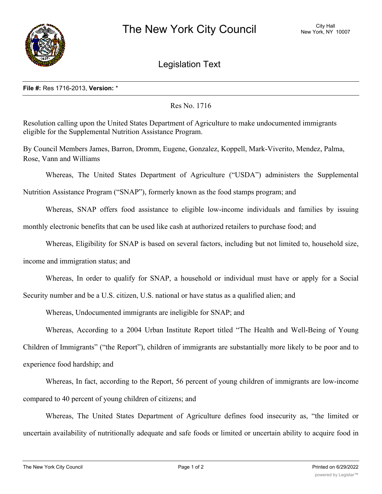

Legislation Text

## **File #:** Res 1716-2013, **Version:** \*

Res No. 1716

Resolution calling upon the United States Department of Agriculture to make undocumented immigrants eligible for the Supplemental Nutrition Assistance Program.

By Council Members James, Barron, Dromm, Eugene, Gonzalez, Koppell, Mark-Viverito, Mendez, Palma, Rose, Vann and Williams

Whereas, The United States Department of Agriculture ("USDA") administers the Supplemental

Nutrition Assistance Program ("SNAP"), formerly known as the food stamps program; and

Whereas, SNAP offers food assistance to eligible low-income individuals and families by issuing

monthly electronic benefits that can be used like cash at authorized retailers to purchase food; and

Whereas, Eligibility for SNAP is based on several factors, including but not limited to, household size,

income and immigration status; and

Whereas, In order to qualify for SNAP, a household or individual must have or apply for a Social Security number and be a U.S. citizen, U.S. national or have status as a qualified alien; and

Whereas, Undocumented immigrants are ineligible for SNAP; and

Whereas, According to a 2004 Urban Institute Report titled "The Health and Well-Being of Young Children of Immigrants" ("the Report"), children of immigrants are substantially more likely to be poor and to experience food hardship; and

Whereas, In fact, according to the Report, 56 percent of young children of immigrants are low-income compared to 40 percent of young children of citizens; and

Whereas, The United States Department of Agriculture defines food insecurity as, "the limited or uncertain availability of nutritionally adequate and safe foods or limited or uncertain ability to acquire food in